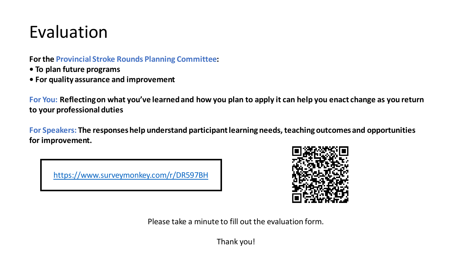#### Evaluation

**For the Provincial Stroke Rounds Planning Committee:**

- **To plan future programs**
- **For quality assurance and improvement**

**For You: Reflecting on what you've learned and how you plan to apply it can help you enact change as you return to your professional duties**

**For Speakers: The responses help understand participant learning needs, teaching outcomes and opportunities for improvement.**

<https://www.surveymonkey.com/r/DR597BH>



Please take a minute to fill out the evaluation form.

Thank you!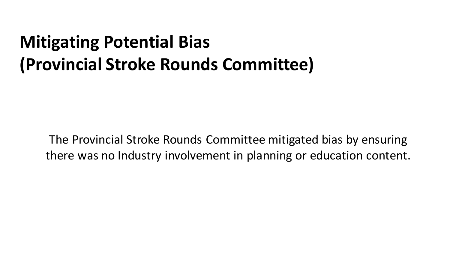#### **Mitigating Potential Bias (Provincial Stroke Rounds Committee)**

The Provincial Stroke Rounds Committee mitigated bias by ensuring there was no Industry involvement in planning or education content.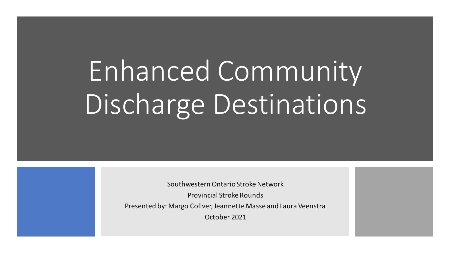# Enhanced Community Discharge Destinations

Southwestern Ontario Stroke Network

Provincial Stroke Rounds

Presented by: Margo Collver, Jeannette Masse and Laura Veenstra

October 2021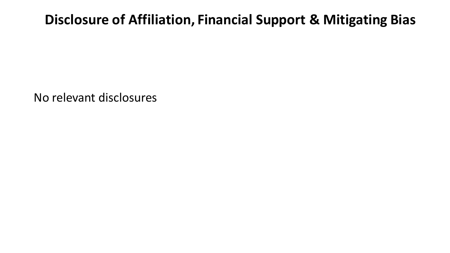#### **Disclosure of Affiliation, Financial Support & Mitigating Bias**

No relevant disclosures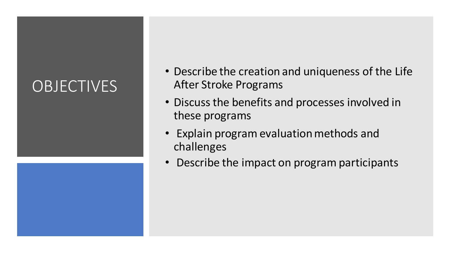#### **OBJECTIVES**



- Describe the creation and uniqueness of the Life After Stroke Programs
- Discuss the benefits and processes involved in these programs
- Explain program evaluation methods and challenges
- Describe the impact on program participants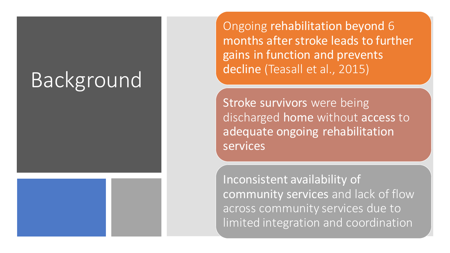### **Background**

Ongoing rehabilitation beyond 6 months after stroke leads to further gains in function and prevents decline (Teasall et al., 2015)

Stroke survivors were being discharged home without access to adequate ongoing rehabilitation services

Inconsistent availability of community services and lack of flow across community services due to limited integration and coordination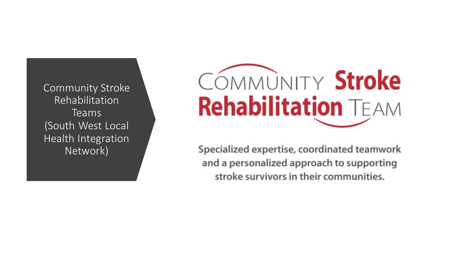Community Stroke Rehabilitation Teams (South West Local Health Integration Network)

# COMMUNITY Stroke **Rehabilitation TEAM**

Specialized expertise, coordinated teamwork and a personalized approach to supporting stroke survivors in their communities.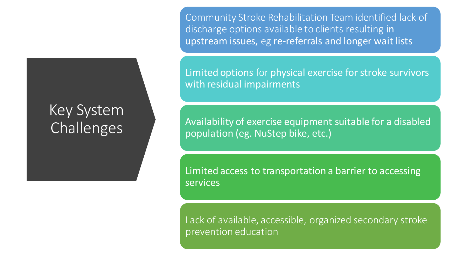#### Key System Challenges

Community Stroke Rehabilitation Team identified lack of discharge options available to clients resulting in upstream issues, eg re-referrals and longer wait lists

Limited options for physical exercise for stroke survivors with residual impairments

Availability of exercise equipment suitable for a disabled population (eg. NuStep bike, etc.)

Limited access to transportation a barrier to accessing **services** 

Lack of available, accessible, organized secondary stroke prevention education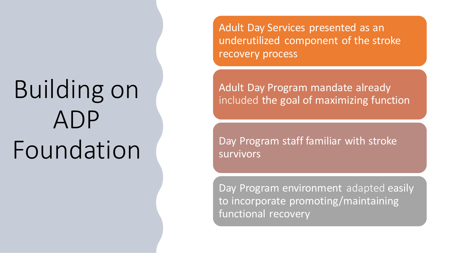# Building on ADP Foundation

Adult Day Services presented as an underutilized component of the stroke recovery process

Adult Day Program mandate already included the goal of maximizing function

Day Program staff familiar with stroke survivors

Day Program environment adapted easily to incorporate promoting/maintaining functional recovery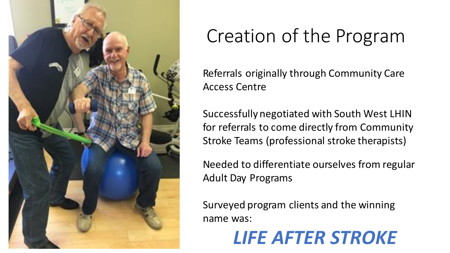

### Creation of the Program

Referrals originally through Community Care Access Centre

Successfully negotiated with South West LHIN for referrals to come directly from Community Stroke Teams (professional stroke therapists)

Needed to differentiate ourselves from regular Adult Day Programs

Surveyed program clients and the winning name was:

#### *LIFE AFTER STROKE*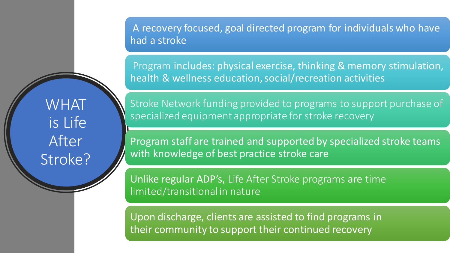A recovery focused, goal directed program for individuals who have had a stroke

Program includes: physical exercise, thinking & memory stimulation, health & wellness education, social/recreation activities

**WHAT** is Life After Stroke?

Stroke Network funding provided to programs to support purchase of specialized equipment appropriate for stroke recovery

Program staff are trained and supported by specialized stroke teams with knowledge of best practice stroke care

Unlike regular ADP's, Life After Stroke programs are time limited/transitional in nature

Upon discharge, clients are assisted to find programs in their community to support their continued recovery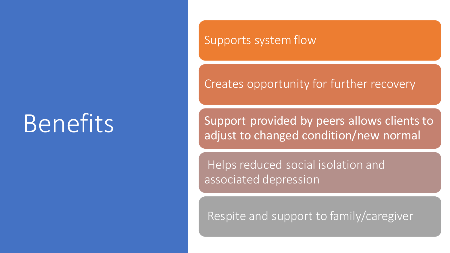### Benefits

#### Supports system flow

Creates opportunity for further recovery

Support provided by peers allows clients to adjust to changed condition/new normal

Helps reduced social isolation and associated depression

Respite and support to family/caregiver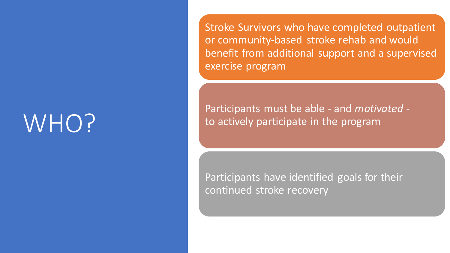### WHO?

Stroke Survivors who have completed outpatient or community-based stroke rehab and would benefit from additional support and a supervised exercise program

Participants must be able - and *motivated* to actively participate in the program

Participants have identified goals for their continued stroke recovery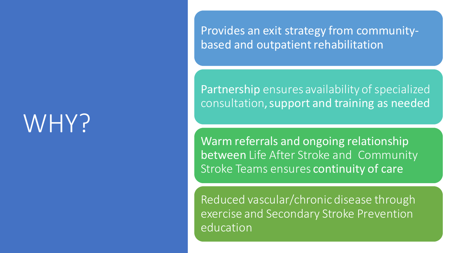### WHY?

Provides an exit strategy from communitybased and outpatient rehabilitation

Partnership ensures availability of specialized consultation, support and training as needed

Warm referrals and ongoing relationship between Life After Stroke and Community Stroke Teams ensures continuity of care

Reduced vascular/chronic disease through exercise and Secondary Stroke Prevention education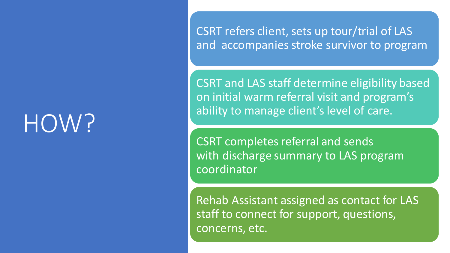## HOW?

CSRT refers client, sets up tour/trial of LAS and accompanies stroke survivor to program

CSRT and LAS staff determine eligibility based on initial warm referral visit and program's ability to manage client's level of care.

CSRT completes referral and sends with discharge summary to LAS program coordinator

Rehab Assistant assigned as contact for LAS staff to connect for support, questions, concerns, etc.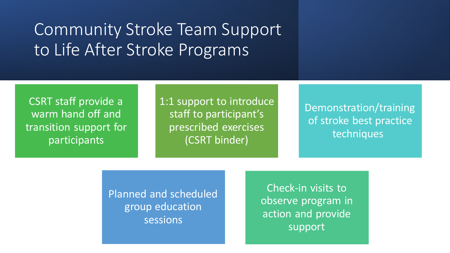#### Community Stroke Team Support to Life After Stroke Programs

CSRT staff provide a warm hand off and transition support for participants

1:1 support to introduce staff to participant's prescribed exercises (CSRT binder)

Demonstration/training of stroke best practice techniques

Planned and scheduled group education sessions

Check-in visits to observe program in action and provide support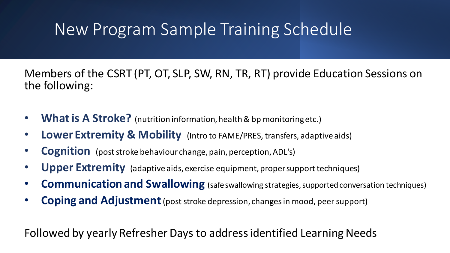#### New Program Sample Training Schedule

Members of the CSRT (PT, OT, SLP, SW, RN, TR, RT) provide Education Sessions on the following:

- **What is A Stroke?** (nutrition information, health & bp monitoring etc.)
- **Lower Extremity & Mobility** (Intro to FAME/PRES, transfers, adaptive aids)
- **Cognition** (post stroke behaviour change, pain, perception, ADL's)
- **Upper Extremity** (adaptive aids, exercise equipment, proper support techniques)
- **Communication and Swallowing** (safe swallowing strategies, supported conversation techniques)
- **Coping and Adjustment** (post stroke depression, changes in mood, peer support)

Followed by yearly Refresher Days to address identified Learning Needs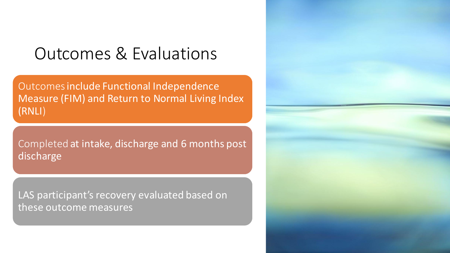#### Outcomes & Evaluations

Outcomesinclude Functional Independence Measure (FIM) and Return to Normal Living Index (RNLI)

Completed at intake, discharge and 6 months post discharge

LAS participant's recovery evaluated based on these outcome measures

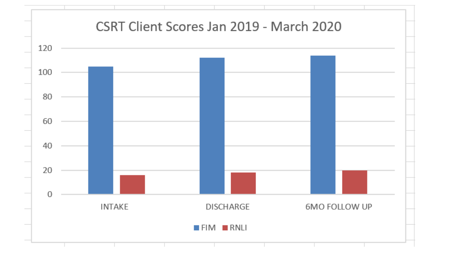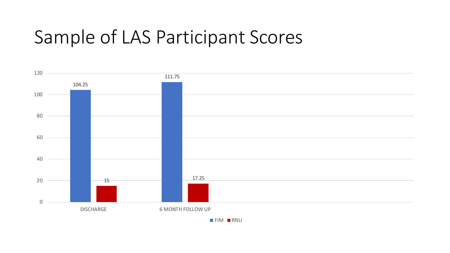#### Sample of LAS Participant Scores



**FIM RNLI**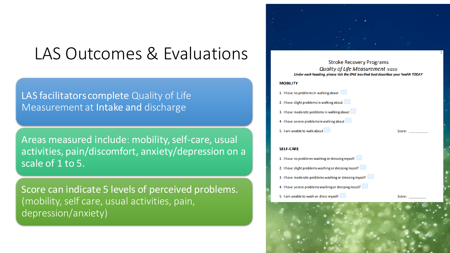#### LAS Outcomes & Evaluations

LAS facilitators complete Quality of Life Measurement at Intake and discharge

Areas measured include: mobility, self-care, usual activities, pain/discomfort, anxiety/depression on a scale of 1 to 5.

Score can indicate 5 levels of perceived problems. (mobility, self care, usual activities, pain, depression/anxiety)



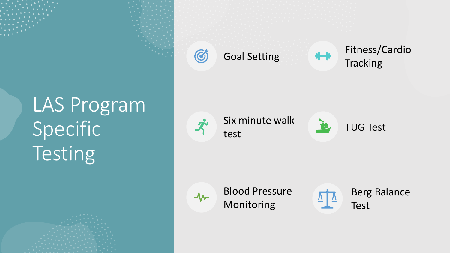







Goal Setting **Fitness/Cardio Tracking** 

Six minute walk test



 $\Delta$ 

 $\boldsymbol{\mathcal{N}}$ 

Blood Pressure Monitoring

Berg Balance Test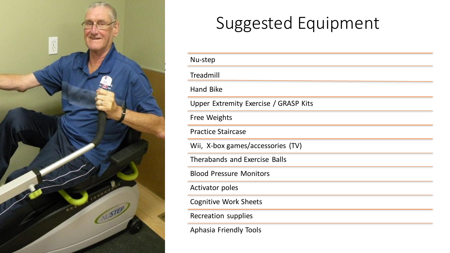

#### Suggested Equipment

| Nu-step                               |
|---------------------------------------|
| Treadmill                             |
| <b>Hand Bike</b>                      |
| Upper Extremity Exercise / GRASP Kits |
| <b>Free Weights</b>                   |
| <b>Practice Staircase</b>             |
| Wii, X-box games/accessories (TV)     |
| <b>Therabands and Exercise Balls</b>  |
| <b>Blood Pressure Monitors</b>        |
| <b>Activator poles</b>                |
| <b>Cognitive Work Sheets</b>          |
| Recreation supplies                   |
| <b>Aphasia Friendly Tools</b>         |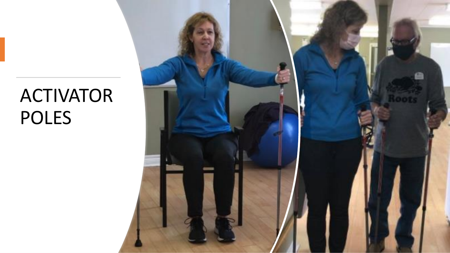#### ACTIVATOR POLES

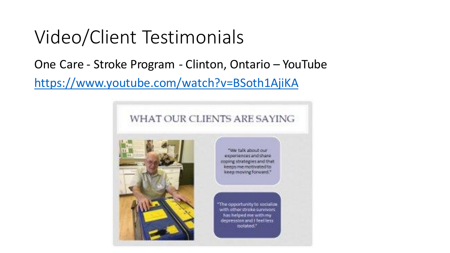#### Video/Client Testimonials

#### One Care - Stroke Program - Clinton, Ontario – YouTube <https://www.youtube.com/watch?v=BSoth1AjiKA>

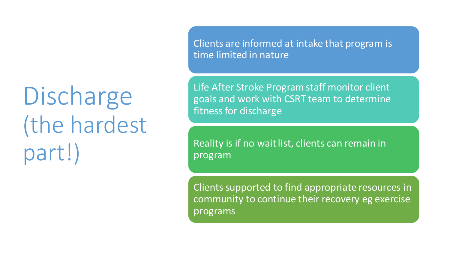## Discharge (the hardest part!)

Clients are informed at intake that program is time limited in nature

Life After Stroke Program staff monitor client goals and work with CSRT team to determine fitness for discharge

Reality is if no wait list, clients can remain in program

Clients supported to find appropriate resources in community to continue their recovery eg exercise programs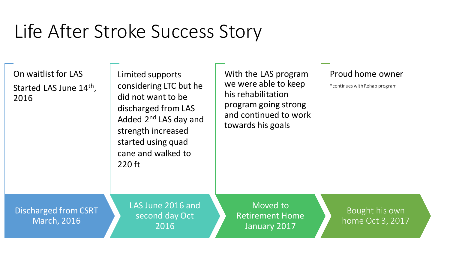### Life After Stroke Success Story

On waitlist for LAS Started LAS June 14<sup>th</sup>, 2016

Limited supports considering LTC but he did not want to be discharged from LAS Added 2nd LAS day and strength increased started using quad cane and walked to 220 ft

With the LAS program we were able to keep his rehabilitation program going strong and continued to work towards his goals

#### Proud home owner

\*continues with Rehab program

Discharged from CSRT March, 2016

LAS June 2016 and second day Oct 2016

Moved to Retirement Home January 2017

Bought his own home Oct 3, 2017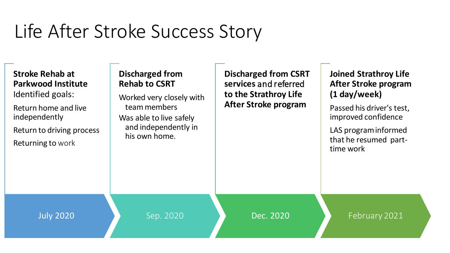### Life After Stroke Success Story

| <b>Stroke Rehab at</b><br><b>Parkwood Institute</b><br>Identified goals:<br>Return home and live<br>independently<br>Return to driving process<br><b>Returning to work</b> | Discharged from<br><b>Rehab to CSRT</b><br>Worked very closely with<br>team members<br>Was able to live safely<br>and independently in<br>his own home. | <b>Discharged from CSRT</b><br>services and referred<br>to the Strathroy Life<br>After Stroke program | <b>Joined Strathroy Life</b><br>After Stroke program<br>(1 day/week)<br>Passed his driver's test,<br>improved confidence<br>LAS program informed<br>that he resumed part-<br>time work |
|----------------------------------------------------------------------------------------------------------------------------------------------------------------------------|---------------------------------------------------------------------------------------------------------------------------------------------------------|-------------------------------------------------------------------------------------------------------|----------------------------------------------------------------------------------------------------------------------------------------------------------------------------------------|
| <b>July 2020</b>                                                                                                                                                           | Sep. 2020                                                                                                                                               | Dec. 2020                                                                                             | February 2021                                                                                                                                                                          |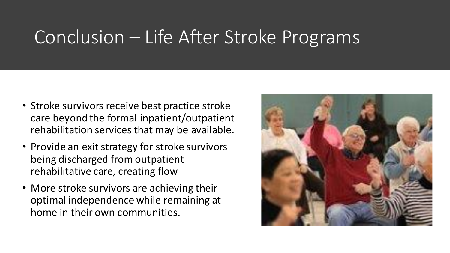#### Conclusion – Life After Stroke Programs

- Stroke survivors receive best practice stroke care beyond the formal inpatient/outpatient rehabilitation services that may be available.
- Provide an exit strategy for stroke survivors being discharged from outpatient rehabilitative care, creating flow
- More stroke survivors are achieving their optimal independence while remaining at home in their own communities.

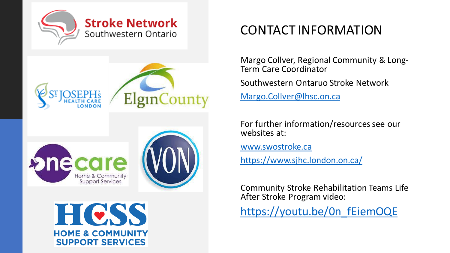







#### CONTACT INFORMATION

Margo Collver, Regional Community & Long-Term Care Coordinator

Southwestern Ontaruo Stroke Network

[Margo.Collver@lhsc.on.ca](mailto:Margo.Collver@lhsc.on.ca)

For further information/resources see our websites at:

[www.swostroke.ca](http://www.swostroke.ca)

<https://www.sjhc.london.on.ca/>

Community Stroke Rehabilitation Teams Life After Stroke Program video:

[https://youtu.be/0n\\_fEiemOQE](https://youtu.be/0n_fEiemOQE)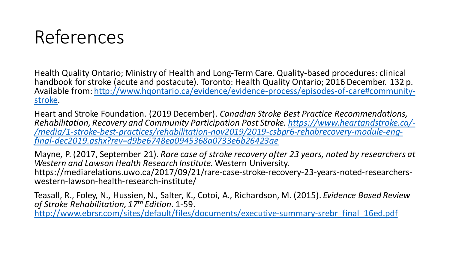#### References

Health Quality Ontario; Ministry of Health and Long-Term Care. Quality-based procedures: clinical handbook for stroke (acute and postacute). Toronto: Health Quality Ontario; 2016 December. 132 p. [Available from: http://www.hqontario.ca/evidence/evidence-process/episodes-of-care#community](http://www.hqontario.ca/evidence/evidence-process/episodes-of-care#community-stroke)stroke.

Heart and Stroke Foundation. (2019 December). *Canadian Stroke Best Practice Recommendations, [Rehabilitation, Recovery and Community Participation Post Stroke. https://www.heartandstroke.ca/-](https://www.heartandstroke.ca/-/media/1-stroke-best-practices/rehabilitation-nov2019/2019-csbpr6-rehabrecovery-module-eng-final-dec2019.ashx?rev=d9be6748ea0945368a0733e6b26423ae) /media/1-stroke-best-practices/rehabilitation-nov2019/2019-csbpr6-rehabrecovery-module-engfinal-dec2019.ashx?rev=d9be6748ea0945368a0733e6b26423ae*

Mayne, P. (2017, September 21). *Rare case of stroke recovery after 23 years, noted by researchers at Western and Lawson Health Research Institute.* Western University. https://mediarelations.uwo.ca/2017/09/21/rare-case-stroke-recovery-23-years-noted-researcherswestern-lawson-health-research-institute/

Teasall, R., Foley, N., Hussien, N., Salter, K., Cotoi, A., Richardson, M. (2015). *Evidence Based Review of Stroke Rehabilitation, 17th Edition*. 1-59.

[http://www.ebrsr.com/sites/default/files/documents/executive-summary-srebr\\_final\\_16ed.pdf](http://www.ebrsr.com/sites/default/files/documents/executive-summary-srebr_final_16ed.pdf)